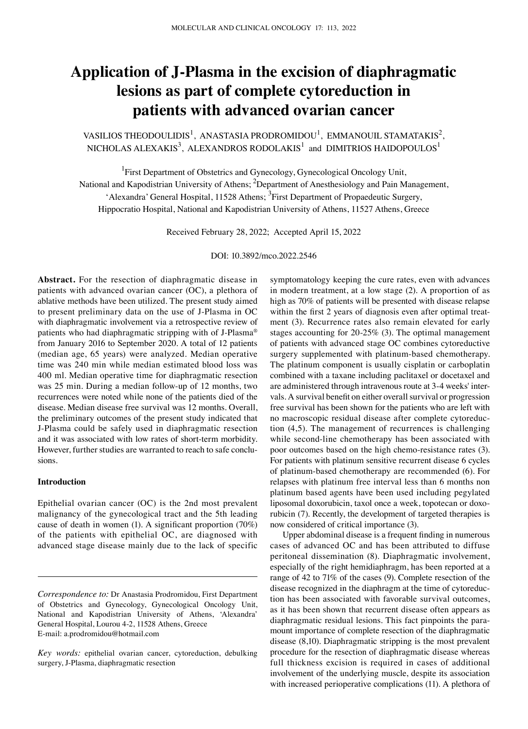# **Application of J‑Plasma in the excision of diaphragmatic lesions as part of complete cytoreduction in patients with advanced ovarian cancer**

## VASILIOS THEODOULIDIS<sup>1</sup>, ANASTASIA PRODROMIDOU<sup>1</sup>, EMMANOUIL STAMATAKIS<sup>2</sup>, NICHOLAS ALEXAKIS $^3$ , ALEXANDROS RODOLAKIS $^1$  and DIMITRIOS HAIDOPOULOS $^1$

<sup>1</sup>First Department of Obstetrics and Gynecology, Gynecological Oncology Unit, National and Kapodistrian University of Athens; <sup>2</sup>Department of Anesthesiology and Pain Management, 'Alexandra' General Hospital, 11528 Athens; <sup>3</sup>First Department of Propaedeutic Surgery, Hippocratio Hospital, National and Kapodistrian University of Athens, 11527 Athens, Greece

Received February 28, 2022; Accepted April 15, 2022

DOI: 10.3892/mco.2022.2546

**Abstract.** For the resection of diaphragmatic disease in patients with advanced ovarian cancer (OC), a plethora of ablative methods have been utilized. The present study aimed to present preliminary data on the use of J-Plasma in OC with diaphragmatic involvement via a retrospective review of patients who had diaphragmatic stripping with of J-Plasma® from January 2016 to September 2020. A total of 12 patients (median age, 65 years) were analyzed. Median operative time was 240 min while median estimated blood loss was 400 ml. Median operative time for diaphragmatic resection was 25 min. During a median follow-up of 12 months, two recurrences were noted while none of the patients died of the disease. Median disease free survival was 12 months. Overall, the preliminary outcomes of the present study indicated that J‑Plasma could be safely used in diaphragmatic resection and it was associated with low rates of short-term morbidity. However, further studies are warranted to reach to safe conclusions.

## **Introduction**

Epithelial ovarian cancer (OC) is the 2nd most prevalent malignancy of the gynecological tract and the 5th leading cause of death in women (1). A significant proportion (70%) of the patients with epithelial OC, are diagnosed with advanced stage disease mainly due to the lack of specific symptomatology keeping the cure rates, even with advances in modern treatment, at a low stage (2). A proportion of as high as 70% of patients will be presented with disease relapse within the first 2 years of diagnosis even after optimal treatment (3). Recurrence rates also remain elevated for early stages accounting for 20-25% (3). The optimal management of patients with advanced stage OC combines cytoreductive surgery supplemented with platinum-based chemotherapy. The platinum component is usually cisplatin or carboplatin combined with a taxane including paclitaxel or docetaxel and are administered through intravenous route at 3-4 weeks' intervals. A survival benefit on either overall survival or progression free survival has been shown for the patients who are left with no macroscopic residual disease after complete cytoreduction (4,5). The management of recurrences is challenging while second-line chemotherapy has been associated with poor outcomes based on the high chemo-resistance rates (3). For patients with platinum sensitive recurrent disease 6 cycles of platinum‑based chemotherapy are recommended (6). For relapses with platinum free interval less than 6 months non platinum based agents have been used including pegylated liposomal doxorubicin, taxol once a week, topotecan or doxorubicin (7). Recently, the development of targeted therapies is now considered of critical importance (3).

Upper abdominal disease is a frequent finding in numerous cases of advanced OC and has been attributed to diffuse peritoneal dissemination (8). Diaphragmatic involvement, especially of the right hemidiaphragm, has been reported at a range of 42 to 71% of the cases (9). Complete resection of the disease recognized in the diaphragm at the time of cytoreduction has been associated with favorable survival outcomes, as it has been shown that recurrent disease often appears as diaphragmatic residual lesions. This fact pinpoints the paramount importance of complete resection of the diaphragmatic disease (8,10). Diaphragmatic stripping is the most prevalent procedure for the resection of diaphragmatic disease whereas full thickness excision is required in cases of additional involvement of the underlying muscle, despite its association with increased perioperative complications (11). A plethora of

*Correspondence to:* Dr Anastasia Prodromidou, First Department of Obstetrics and Gynecology, Gynecological Oncology Unit, National and Kapodistrian University of Athens, 'Alexandra' General Hospital, Lourou 4-2, 11528 Athens, Greece E‑mail: a.prodromidou@hotmail.com

*Key words:* epithelial ovarian cancer, cytoreduction, debulking surgery, J‑Plasma, diaphragmatic resection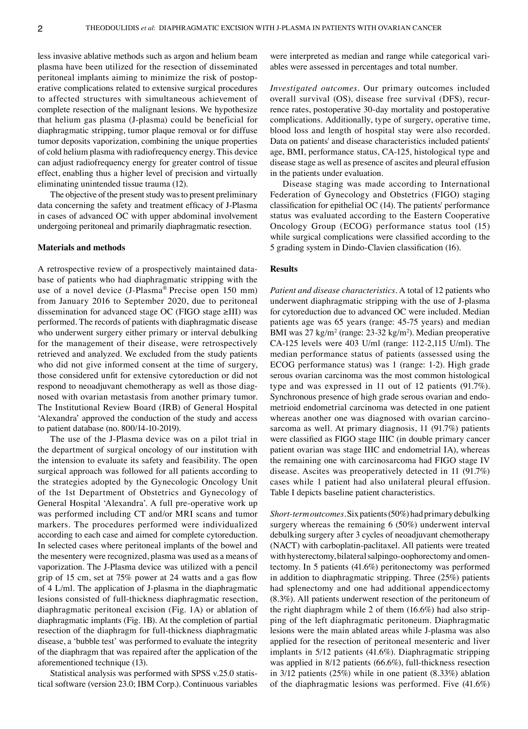less invasive ablative methods such as argon and helium beam plasma have been utilized for the resection of disseminated peritoneal implants aiming to minimize the risk of postoperative complications related to extensive surgical procedures to affected structures with simultaneous achievement of complete resection of the malignant lesions. We hypothesize that helium gas plasma (J‑plasma) could be beneficial for diaphragmatic stripping, tumor plaque removal or for diffuse tumor deposits vaporization, combining the unique properties of cold helium plasma with radiofrequency energy. This device can adjust radiofrequency energy for greater control of tissue effect, enabling thus a higher level of precision and virtually eliminating unintended tissue trauma (12).

The objective of the present study was to present preliminary data concerning the safety and treatment efficacy of J-Plasma in cases of advanced OC with upper abdominal involvement undergoing peritoneal and primarily diaphragmatic resection.

## **Materials and methods**

A retrospective review of a prospectively maintained database of patients who had diaphragmatic stripping with the use of a novel device (J-Plasma® Precise open 150 mm) from January 2016 to September 2020, due to peritoneal dissemination for advanced stage OC (FIGO stage ≥III) was performed. The records of patients with diaphragmatic disease who underwent surgery either primary or interval debulking for the management of their disease, were retrospectively retrieved and analyzed. We excluded from the study patients who did not give informed consent at the time of surgery, those considered unfit for extensive cytoreduction or did not respond to neoadjuvant chemotherapy as well as those diagnosed with ovarian metastasis from another primary tumor. The Institutional Review Board (IRB) of General Hospital 'Alexandra' approved the conduction of the study and access to patient database (no. 800/14‑10‑2019).

The use of the J-Plasma device was on a pilot trial in the department of surgical oncology of our institution with the intension to evaluate its safety and feasibility. The open surgical approach was followed for all patients according to the strategies adopted by the Gynecologic Oncology Unit of the 1st Department of Obstetrics and Gynecology of General Hospital 'Alexandra'. A full pre‑operative work up was performed including CT and/or MRI scans and tumor markers. The procedures performed were individualized according to each case and aimed for complete cytoreduction. In selected cases where peritoneal implants of the bowel and the mesentery were recognized, plasma was used as a means of vaporization. The J‑Plasma device was utilized with a pencil grip of 15 cm, set at 75% power at 24 watts and a gas flow of 4 L/ml. The application of J-plasma in the diaphragmatic lesions consisted of full-thickness diaphragmatic resection, diaphragmatic peritoneal excision (Fig. 1A) or ablation of diaphragmatic implants (Fig. 1B). At the completion of partial resection of the diaphragm for full-thickness diaphragmatic disease, a 'bubble test' was performed to evaluate the integrity of the diaphragm that was repaired after the application of the aforementioned technique (13).

Statistical analysis was performed with SPSS v.25.0 statistical software (version 23.0; IBM Corp.). Continuous variables

were interpreted as median and range while categorical variables were assessed in percentages and total number.

*Investigated outcomes.* Our primary outcomes included overall survival (OS), disease free survival (DFS), recurrence rates, postoperative 30‑day mortality and postoperative complications. Additionally, type of surgery, operative time, blood loss and length of hospital stay were also recorded. Data on patients' and disease characteristics included patients' age, BMI, performance status, CA‑125, histological type and disease stage as well as presence of ascites and pleural effusion in the patients under evaluation.

Disease staging was made according to International Federation of Gynecology and Obstetrics (FIGO) staging classification for epithelial OC (14). The patients' performance status was evaluated according to the Eastern Cooperative Oncology Group (ECOG) performance status tool (15) while surgical complications were classified according to the 5 grading system in Dindo‑Clavien classification (16).

#### **Results**

*Patient and disease characteristics.* A total of 12 patients who underwent diaphragmatic stripping with the use of J-plasma for cytoreduction due to advanced OC were included. Median patients age was 65 years (range: 45‑75 years) and median BMI was  $27 \text{ kg/m}^2$  (range:  $23-32 \text{ kg/m}^2$ ). Median preoperative CA‑125 levels were 403 U/ml (range: 112‑2,115 U/ml). The median performance status of patients (assessed using the ECOG performance status) was 1 (range: 1‑2). High grade serous ovarian carcinoma was the most common histological type and was expressed in 11 out of 12 patients (91.7%). Synchronous presence of high grade serous ovarian and endometrioid endometrial carcinoma was detected in one patient whereas another one was diagnosed with ovarian carcinosarcoma as well. At primary diagnosis, 11 (91.7%) patients were classified as FIGO stage IIIC (in double primary cancer patient ovarian was stage IIIC and endometrial IA), whereas the remaining one with carcinosarcoma had FIGO stage IV disease. Ascites was preoperatively detected in 11 (91.7%) cases while 1 patient had also unilateral pleural effusion. Table I depicts baseline patient characteristics.

*Short‑term outcomes.* Six patients (50%) had primary debulking surgery whereas the remaining 6 (50%) underwent interval debulking surgery after 3 cycles of neoadjuvant chemotherapy (NACT) with carboplatin‑paclitaxel. All patients were treated with hysterectomy, bilateral salpingo-oophorectomy and omentectomy. In 5 patients (41.6%) peritonectomy was performed in addition to diaphragmatic stripping. Three (25%) patients had splenectomy and one had additional appendicectomy (8.3%). All patients underwent resection of the peritoneum of the right diaphragm while 2 of them  $(16.6%)$  had also stripping of the left diaphragmatic peritoneum. Diaphragmatic lesions were the main ablated areas while J‑plasma was also applied for the resection of peritoneal mesenteric and liver implants in 5/12 patients (41.6%). Diaphragmatic stripping was applied in 8/12 patients (66.6%), full-thickness resection in 3/12 patients (25%) while in one patient (8.33%) ablation of the diaphragmatic lesions was performed. Five (41.6%)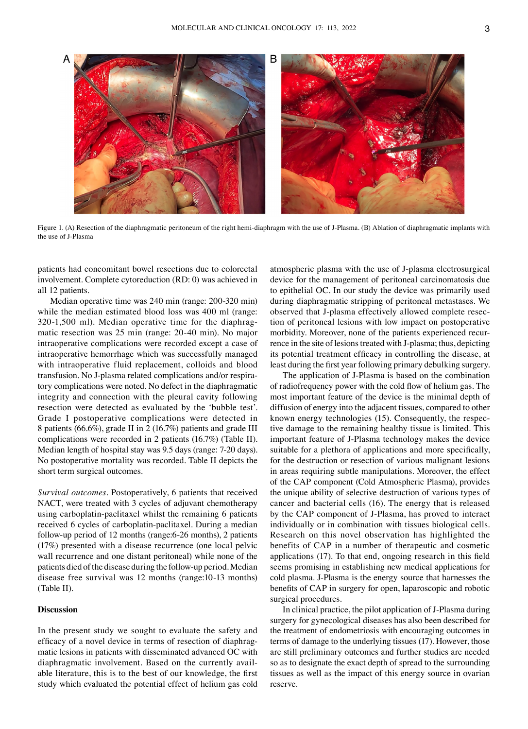

Figure 1. (A) Resection of the diaphragmatic peritoneum of the right hemi-diaphragm with the use of J-Plasma. (B) Ablation of diaphragmatic implants with the use of J‑Plasma

patients had concomitant bowel resections due to colorectal involvement. Complete cytoreduction (RD: 0) was achieved in all 12 patients.

Median operative time was 240 min (range: 200‑320 min) while the median estimated blood loss was 400 ml (range: 320-1,500 ml). Median operative time for the diaphragmatic resection was 25 min (range: 20‑40 min). No major intraoperative complications were recorded except a case of intraoperative hemorrhage which was successfully managed with intraoperative fluid replacement, colloids and blood transfusion. No J-plasma related complications and/or respiratory complications were noted. No defect in the diaphragmatic integrity and connection with the pleural cavity following resection were detected as evaluated by the 'bubble test'. Grade I postoperative complications were detected in 8 patients (66.6%), grade II in 2 (16.7%) patients and grade III complications were recorded in 2 patients (16.7%) (Table II). Median length of hospital stay was 9.5 days (range: 7‑20 days). No postoperative mortality was recorded. Table II depicts the short term surgical outcomes.

*Survival outcomes.* Postoperatively, 6 patients that received NACT, were treated with 3 cycles of adjuvant chemotherapy using carboplatin‑paclitaxel whilst the remaining 6 patients received 6 cycles of carboplatin‑paclitaxel. During a median follow‑up period of 12 months (range:6‑26 months), 2 patients (17%) presented with a disease recurrence (one local pelvic wall recurrence and one distant peritoneal) while none of the patients died of the disease during the follow‑up period. Median disease free survival was 12 months (range:10‑13 months) (Table II).

## **Discussion**

In the present study we sought to evaluate the safety and efficacy of a novel device in terms of resection of diaphragmatic lesions in patients with disseminated advanced OC with diaphragmatic involvement. Based on the currently available literature, this is to the best of our knowledge, the first study which evaluated the potential effect of helium gas cold

atmospheric plasma with the use of J‑plasma electrosurgical device for the management of peritoneal carcinomatosis due to epithelial OC. In our study the device was primarily used during diaphragmatic stripping of peritoneal metastases. We observed that J-plasma effectively allowed complete resection of peritoneal lesions with low impact on postoperative morbidity. Moreover, none of the patients experienced recurrence in the site of lesions treated with J-plasma; thus, depicting its potential treatment efficacy in controlling the disease, at least during the first year following primary debulking surgery.

The application of J-Plasma is based on the combination of radiofrequency power with the cold flow of helium gas. The most important feature of the device is the minimal depth of diffusion of energy into the adjacent tissues, compared to other known energy technologies (15). Consequently, the respective damage to the remaining healthy tissue is limited. This important feature of J-Plasma technology makes the device suitable for a plethora of applications and more specifically, for the destruction or resection of various malignant lesions in areas requiring subtle manipulations. Moreover, the effect of the CAP component (Cold Atmospheric Plasma), provides the unique ability of selective destruction of various types of cancer and bacterial cells (16). The energy that is released by the CAP component of J-Plasma, has proved to interact individually or in combination with tissues biological cells. Research on this novel observation has highlighted the benefits of CAP in a number of therapeutic and cosmetic applications (17). To that end, ongoing research in this field seems promising in establishing new medical applications for cold plasma. J‑Plasma is the energy source that harnesses the benefits of CAP in surgery for open, laparoscopic and robotic surgical procedures.

In clinical practice, the pilot application of J-Plasma during surgery for gynecological diseases has also been described for the treatment of endometriosis with encouraging outcomes in terms of damage to the underlying tissues (17). However, those are still preliminary outcomes and further studies are needed so as to designate the exact depth of spread to the surrounding tissues as well as the impact of this energy source in ovarian reserve.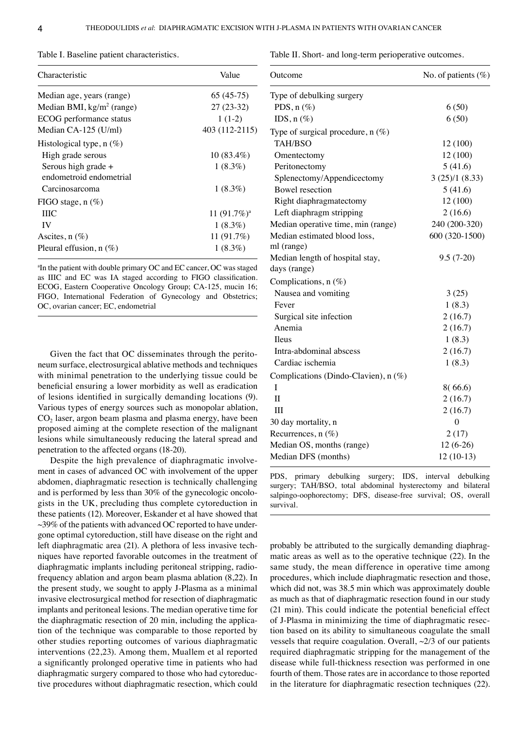| Characteristic                                 | Value          |
|------------------------------------------------|----------------|
| Median age, years (range)                      | $65(45-75)$    |
| Median BMI, kg/m <sup>2</sup> (range)          | $27(23-32)$    |
| ECOG performance status                        | $1(1-2)$       |
| Median CA-125 (U/ml)                           | 403 (112-2115) |
| Histological type, $n(\%)$                     |                |
| High grade serous                              | $10(83.4\%)$   |
| Serous high grade +<br>endometroid endometrial | $1(8.3\%)$     |
| Carcinosarcoma                                 | $1(8.3\%)$     |
| FIGO stage, $n$ (%)                            |                |
| <b>THC</b>                                     | 11 $(91.7%)^a$ |
| IV                                             | $1(8.3\%)$     |
| Ascites, $n$ $(\%)$                            | 11 (91.7%)     |
| Pleural effusion, $n$ (%)                      | $1(8.3\%)$     |

Table I. Baseline patient characteristics.

a In the patient with double primary OC and EC cancer, OC was staged as IIIC and EC was IA staged according to FIGO classification. ECOG, Eastern Cooperative Oncology Group; CA‑125, mucin 16; FIGO, International Federation of Gynecology and Obstetrics; OC, ovarian cancer; EC, endometrial

Given the fact that OC disseminates through the peritoneum surface, electrosurgical ablative methods and techniques with minimal penetration to the underlying tissue could be beneficial ensuring a lower morbidity as well as eradication of lesions identified in surgically demanding locations (9). Various types of energy sources such as monopolar ablation,  $CO<sub>2</sub>$  laser, argon beam plasma and plasma energy, have been proposed aiming at the complete resection of the malignant lesions while simultaneously reducing the lateral spread and penetration to the affected organs (18‑20).

Despite the high prevalence of diaphragmatic involvement in cases of advanced OC with involvement of the upper abdomen, diaphragmatic resection is technically challenging and is performed by less than 30% of the gynecologic oncologists in the UK, precluding thus complete cytoreduction in these patients (12). Moreover, Eskander et al have showed that  $\sim$ 39% of the patients with advanced OC reported to have undergone optimal cytoreduction, still have disease on the right and left diaphragmatic area (21). A plethora of less invasive techniques have reported favorable outcomes in the treatment of diaphragmatic implants including peritoneal stripping, radiofrequency ablation and argon beam plasma ablation (8,22). In the present study, we sought to apply J-Plasma as a minimal invasive electrosurgical method for resection of diaphragmatic implants and peritoneal lesions. The median operative time for the diaphragmatic resection of 20 min, including the application of the technique was comparable to those reported by other studies reporting outcomes of various diaphragmatic interventions (22,23). Among them, Muallem et al reported a significantly prolonged operative time in patients who had diaphragmatic surgery compared to those who had cytoreductive procedures without diaphragmatic resection, which could Table II. Short- and long-term perioperative outcomes.

| Outcome                              | No. of patients $(\%)$ |
|--------------------------------------|------------------------|
| Type of debulking surgery            |                        |
| PDS, $n$ (%)                         | 6(50)                  |
| IDS, $n$ (%)                         | 6(50)                  |
| Type of surgical procedure, $n$ (%)  |                        |
| <b>TAH/BSO</b>                       | 12 (100)               |
| Omentectomy                          | 12 (100)               |
| Peritonectomy                        | 5(41.6)                |
| Splenectomy/Appendicectomy           | 3(25)/1(8.33)          |
| Bowel resection                      | 5(41.6)                |
| Right diaphragmatectomy              | 12 (100)               |
| Left diaphragm stripping             | 2(16.6)                |
| Median operative time, min (range)   | 240 (200-320)          |
| Median estimated blood loss,         | 600 (320-1500)         |
| ml (range)                           |                        |
| Median length of hospital stay,      | $9.5(7-20)$            |
| days (range)                         |                        |
| Complications, $n$ (%)               |                        |
| Nausea and vomiting                  | 3(25)                  |
| Fever                                | 1(8.3)                 |
| Surgical site infection              | 2(16.7)                |
| Anemia                               | 2(16.7)                |
| Ileus                                | 1(8.3)                 |
| Intra-abdominal abscess              | 2(16.7)                |
| Cardiac ischemia                     | 1(8.3)                 |
| Complications (Dindo-Clavien), n (%) |                        |
| T                                    | 8(66.6)                |
| $\mathbf{I}$                         | 2(16.7)                |
| Ш                                    | 2(16.7)                |
| 30 day mortality, n                  | 0                      |
| Recurrences, $n(\%)$                 | 2(17)                  |
| Median OS, months (range)            | $12(6-26)$             |
| Median DFS (months)                  | $12(10-13)$            |

PDS, primary debulking surgery; IDS, interval debulking surgery; TAH/BSO, total abdominal hysterectomy and bilateral salpingo-oophorectomy; DFS, disease-free survival; OS, overall survival.

probably be attributed to the surgically demanding diaphragmatic areas as well as to the operative technique (22). In the same study, the mean difference in operative time among procedures, which include diaphragmatic resection and those, which did not, was 38.5 min which was approximately double as much as that of diaphragmatic resection found in our study (21 min). This could indicate the potential beneficial effect of J-Plasma in minimizing the time of diaphragmatic resection based on its ability to simultaneous coagulate the small vessels that require coagulation. Overall,  $\sim$ 2/3 of our patients required diaphragmatic stripping for the management of the disease while full‑thickness resection was performed in one fourth of them. Those rates are in accordance to those reported in the literature for diaphragmatic resection techniques (22).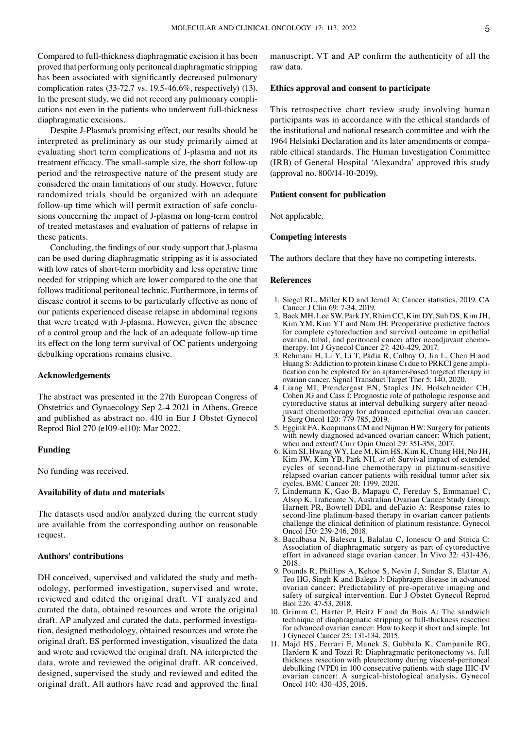Compared to full-thickness diaphragmatic excision it has been proved that performing only peritoneal diaphragmatic stripping has been associated with significantly decreased pulmonary complication rates (33‑72.7 vs. 19.5‑46.6%, respectively) (13). In the present study, we did not record any pulmonary complications not even in the patients who underwent full-thickness diaphragmatic excisions.

Despite J-Plasma's promising effect, our results should be interpreted as preliminary as our study primarily aimed at evaluating short term complications of J-plasma and not its treatment efficacy. The small‑sample size, the short follow‑up period and the retrospective nature of the present study are considered the main limitations of our study. However, future randomized trials should be organized with an adequate follow-up time which will permit extraction of safe conclusions concerning the impact of J-plasma on long-term control of treated metastases and evaluation of patterns of relapse in these patients.

Concluding, the findings of our study support that J-plasma can be used during diaphragmatic stripping as it is associated with low rates of short-term morbidity and less operative time needed for stripping which are lower compared to the one that follows traditional peritoneal technic. Furthermore, in terms of disease control it seems to be particularly effective as none of our patients experienced disease relapse in abdominal regions that were treated with J-plasma. However, given the absence of a control group and the lack of an adequate follow‑up time its effect on the long term survival of OC patients undergoing debulking operations remains elusive.

#### **Acknowledgements**

The abstract was presented in the 27th European Congress of Obstetrics and Gynaecology Sep 2‑4 2021 in Athens, Greece and published as abstract no. 410 in Eur J Obstet Gynecol Reprod Biol 270 (e109‑e110): Mar 2022.

## **Funding**

No funding was received.

## **Availability of data and materials**

The datasets used and/or analyzed during the current study are available from the corresponding author on reasonable request.

### **Authors' contributions**

DH conceived, supervised and validated the study and methodology, performed investigation, supervised and wrote, reviewed and edited the original draft. VT analyzed and curated the data, obtained resources and wrote the original draft. AP analyzed and curated the data, performed investigation, designed methodology, obtained resources and wrote the original draft. ES performed investigation, visualized the data and wrote and reviewed the original draft. NA interpreted the data, wrote and reviewed the original draft. AR conceived, designed, supervised the study and reviewed and edited the original draft. All authors have read and approved the final

manuscript. VT and AP confirm the authenticity of all the raw data.

## **Ethics approval and consent to participate**

This retrospective chart review study involving human participants was in accordance with the ethical standards of the institutional and national research committee and with the 1964 Helsinki Declaration and its later amendments or comparable ethical standards. The Human Investigation Committee (IRB) of General Hospital 'Alexandra' approved this study (approval no. 800/14‑10‑2019).

#### **Patient consent for publication**

Not applicable.

## **Competing interests**

The authors declare that they have no competing interests.

## **References**

- 1. Siegel RL, Miller KD and Jemal A: Cancer statistics, 2019. CA Cancer J Clin 69: 7‑34, 2019.
- 2. Baek MH, Lee SW, Park JY, Rhim CC, Kim DY, Suh DS, Kim JH, Kim YM, Kim YT and Nam JH: Preoperative predictive factors for complete cytoreduction and survival outcome in epithelial ovarian, tubal, and peritoneal cancer after neoadjuvant chemotherapy. Int J Gynecol Cancer 27: 420-429, 2017.
- 3. Rehmani H, Li Y, Li T, Padia R, Calbay O, Jin L, Chen H and Huang S: Addiction to protein kinase C<sub>l</sub> due to PRKCI gene amplification can be exploited for an aptamer-based targeted therapy in ovarian cancer. Signal Transduct Target Ther 5: 140, 2020.
- 4. Liang MI, Prendergast EN, Staples JN, Holschneider CH, Cohen JG and Cass I: Prognostic role of pathologic response and cytoreductive status at interval debulking surgery after neoadjuvant chemotherapy for advanced epithelial ovarian cancer. J Surg Oncol 120: 779‑785, 2019.
- 5. Eggink FA, Koopmans CM and Nijman HW: Surgery for patients with newly diagnosed advanced ovarian cancer: Which patient, when and extent? Curr Opin Oncol 29: 351‑358, 2017.
- 6. Kim SI, Hwang WY, Lee M, Kim HS, Kim K, Chung HH, No JH, Kim JW, Kim YB, Park NH*, et al*: Survival impact of extended cycles of second-line chemotherapy in platinum-sensitive relapsed ovarian cancer patients with residual tumor after six cycles. BMC Cancer 20: 1199, 2020.
- 7. Lindemann K, Gao B, Mapagu C, Fereday S, Emmanuel C, Alsop K, Traficante N, Australian Ovarian Cancer Study Group; Harnett PR, Bowtell DDL and deFazio A: Response rates to second-line platinum-based therapy in ovarian cancer patients challenge the clinical definition of platinum resistance. Gynecol Oncol 150: 239‑246, 2018.
- 8. Bacalbasa N, Balescu I, Balalau C, Ionescu O and Stoica C: Association of diaphragmatic surgery as part of cytoreductive effort in advanced stage ovarian cancer. In Vivo 32: 431‑436, 2018.
- 9. Pounds R, Phillips A, Kehoe S, Nevin J, Sundar S, Elattar A, Teo HG, Singh K and Balega J: Diaphragm disease in advanced ovarian cancer: Predictability of pre‑operative imaging and safety of surgical intervention. Eur J Obstet Gynecol Reprod Biol 226: 47‑53, 2018.
- 10. Grimm C, Harter P, Heitz F and du Bois A: The sandwich technique of diaphragmatic stripping or full-thickness resection for advanced ovarian cancer: How to keep it short and simple. Int J Gynecol Cancer 25: 131‑134, 2015.
- 11. Majd HS, Ferrari F, Manek S, Gubbala K, Campanile RG, Hardern K and Tozzi R: Diaphragmatic peritonectomy vs. full thickness resection with pleurectomy during visceral-peritoneal debulking (VPD) in 100 consecutive patients with stage IIIC‑IV ovarian cancer: A surgical‑histological analysis. Gynecol Oncol 140: 430‑435, 2016.